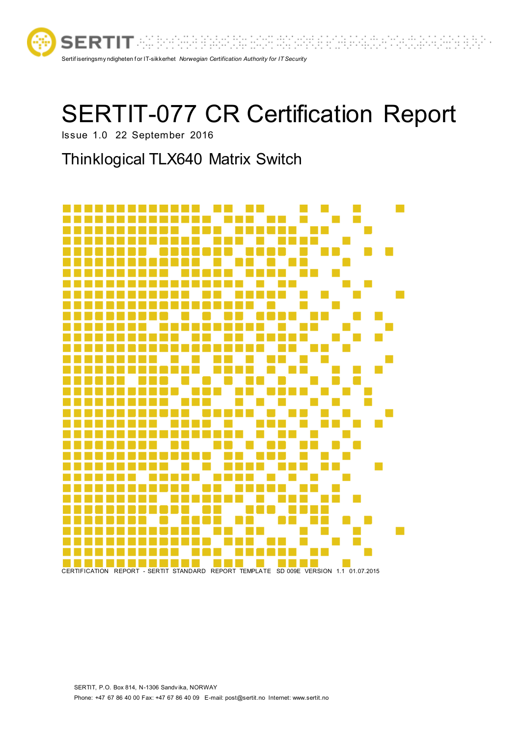

# SERTIT-077 CR Certification Report

Issue 1.0 22 September 2016

# Thinklogical TLX640 Matrix Switch

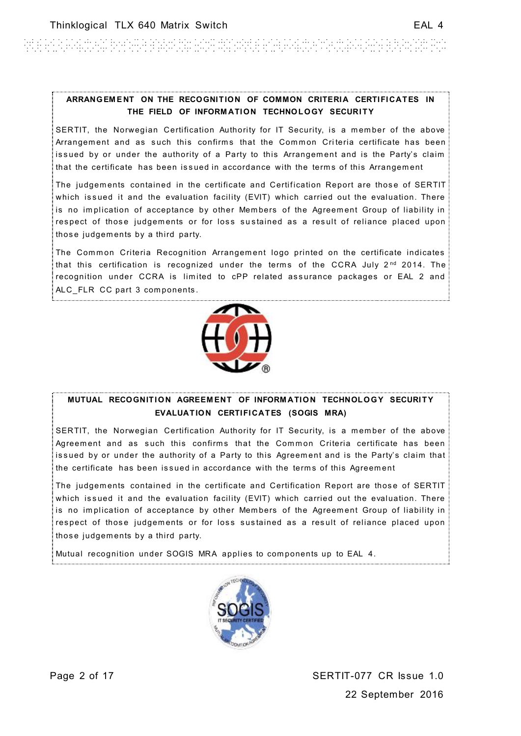#### ARRANGEMENT ON THE RECOGNITION OF COMMON CRITERIA CERTIFICATES IN **THE FIELD OF INFORM ATION TECHNOLOGY SECURITY**

SERTIT, the Norwegian Certification Authority for IT Security, is a member of the above Arrangement and as such this confirms that the Common Criteria certificate has been issued by or under the authority of a Party to this Arrangement and is the Party's claim that the certificate has been issued in accordance with the terms of this Arrangement

The judgements contained in the certificate and Certification Report are those of SERTIT which issued it and the evaluation facility (EVIT) which carried out the evaluation. There is no implication of acceptance by other Members of the Agreement Group of liability in respect of those judgements or for loss sustained as a result of reliance placed upon those judgem ents by a third party.

The Common Criteria Recognition Arrangement logo printed on the certificate indicates that this certification is recognized under the terms of the CCRA July  $2^{nd}$  2014. The recognition under CCRA is limited to cPP related assurance packages or EAL 2 and ALC FLR CC part 3 components.



#### **MUTUAL RECOGNITION AGREEMENT OF INFORMATION TECHNOLOGY SECURITY EVALUATION CERTIFICATES (SOGIS MRA)**

SERTIT, the Norwegian Certification Authority for IT Security, is a member of the above Agreement and as such this confirms that the Common Criteria certificate has been issued by or under the authority of a Party to this Agreement and is the Party's claim that the certificate has been issued in accordance with the terms of this Agreement

The judgements contained in the certificate and Certification Report are those of SERTIT which issued it and the evaluation facility (EVIT) which carried out the evaluation. There is no implication of acceptance by other Members of the Agreement Group of liability in respect of those judgements or for loss sustained as a result of reliance placed upon those judgem ents by a third party.

Mutual recognition under SOGIS MRA applies to com ponents up to EAL 4.

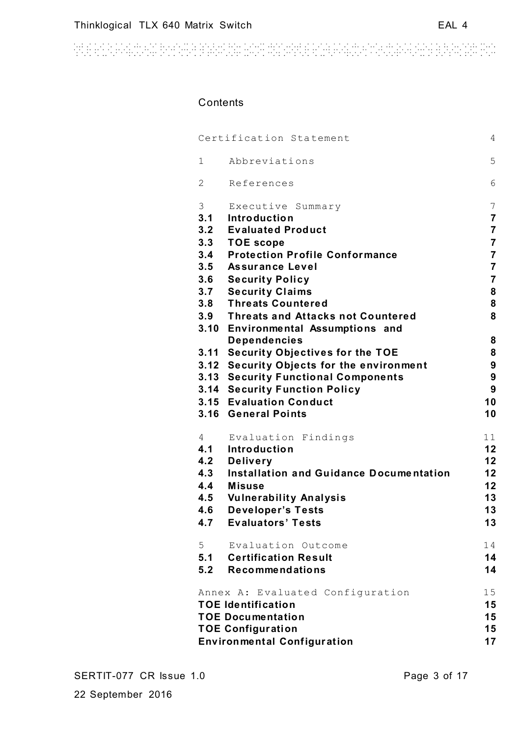# **Contents**

| $\overline{4}$<br>Certification Statement |                                            |                |  |  |  |
|-------------------------------------------|--------------------------------------------|----------------|--|--|--|
| 1                                         | Abbreviations                              | 5              |  |  |  |
| $\overline{2}$                            | References                                 | 6              |  |  |  |
| 3                                         | Executive Summary                          | 7              |  |  |  |
| 3.1                                       | Introduction                               | $\overline{7}$ |  |  |  |
| 3.2                                       | <b>Evaluated Product</b>                   | $\overline{7}$ |  |  |  |
| 3.3                                       | <b>TOE</b> scope                           | 7              |  |  |  |
| 3.4                                       | <b>Protection Profile Conformance</b>      | $\overline{7}$ |  |  |  |
| 3.5                                       | <b>Assurance Level</b>                     | $\overline{7}$ |  |  |  |
| 3.6                                       | <b>Security Policy</b>                     | 7              |  |  |  |
| 3.7                                       | <b>Security Claims</b>                     | 8              |  |  |  |
| 3.8                                       | <b>Threats Countered</b>                   | 8              |  |  |  |
| 3.9                                       | <b>Threats and Attacks not Countered</b>   | 8              |  |  |  |
|                                           | 3.10 Environmental Assumptions and         |                |  |  |  |
|                                           | <b>Dependencies</b>                        | 8              |  |  |  |
|                                           | 3.11 Security Objectives for the TOE       | 8              |  |  |  |
|                                           | 3.12 Security Objects for the environment  | 9              |  |  |  |
|                                           | <b>3.13 Security Functional Components</b> | 9              |  |  |  |
|                                           | <b>3.14 Security Function Policy</b>       | 9              |  |  |  |
|                                           | 3.15 Evaluation Conduct                    | 10             |  |  |  |
|                                           | 3.16 General Points                        | 10             |  |  |  |
| 4                                         | Evaluation Findings                        | 11             |  |  |  |
| 4.1                                       | Introduction                               | 12             |  |  |  |
| 4.2                                       | <b>Delivery</b>                            | 12             |  |  |  |
| 4.3                                       | Installation and Guidance Documentation    | 12             |  |  |  |
| 4.4                                       | <b>Misuse</b>                              | 12             |  |  |  |
| 4.5                                       | <b>Vulnerability Analysis</b>              | 13             |  |  |  |
| 4.6                                       | <b>Developer's Tests</b>                   | 13             |  |  |  |
| 4.7                                       | <b>Evaluators' Tests</b>                   | 13             |  |  |  |
| 5                                         | Evaluation Outcome                         | 14             |  |  |  |
| 5.1                                       | <b>Certification Result</b>                | 14             |  |  |  |
| 5.2                                       | Recommendations                            | 14             |  |  |  |
|                                           | Annex A: Evaluated Configuration           | 15             |  |  |  |
|                                           | <b>TOE Identification</b>                  | 15             |  |  |  |
|                                           | <b>TOE Documentation</b>                   | 15<br>15       |  |  |  |
| <b>TOE Configuration</b>                  |                                            |                |  |  |  |
|                                           | <b>Environmental Configuration</b>         | 17             |  |  |  |
|                                           |                                            |                |  |  |  |

22 September 2016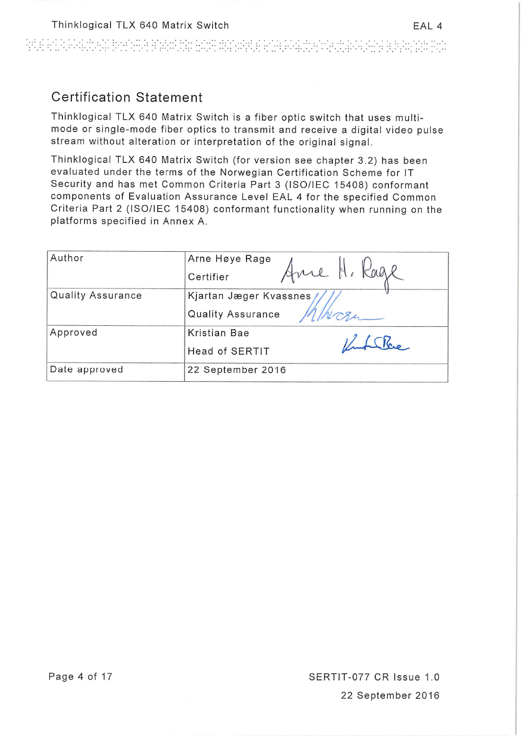ATH EAR ANG THAT BAANAR BAGAILEE THAT THAT THAT EAR AN THAT THAT A THAT THAT THE BAGAIN THAT THE THAT THE THAT

# **Certification Statement**

Thinklogical TLX 640 Matrix Switch is a fiber optic switch that uses multimode or single-mode fiber optics to transmit and receive a digital video pulse stream without alteration or interpretation of the original signal.

Thinklogical TLX 640 Matrix Switch (for version see chapter 3.2) has been evaluated under the terms of the Norwegian Certification Scheme for IT Security and has met Common Criteria Part 3 (ISO/IEC 15408) conformant components of Evaluation Assurance Level EAL 4 for the specified Common Criteria Part 2 (ISO/IEC 15408) conformant functionality when running on the platforms specified in Annex A.

| Author            | Arne Høye Rage            |  |  |  |
|-------------------|---------------------------|--|--|--|
|                   | Anne H. Kage<br>Certifier |  |  |  |
| Quality Assurance | Kjartan Jæger Kvassnes    |  |  |  |
|                   | Quality Assurance         |  |  |  |
| Approved          | Kristian Bae              |  |  |  |
|                   | <b>Head of SERTIT</b>     |  |  |  |
| Date approved     | 22 September 2016         |  |  |  |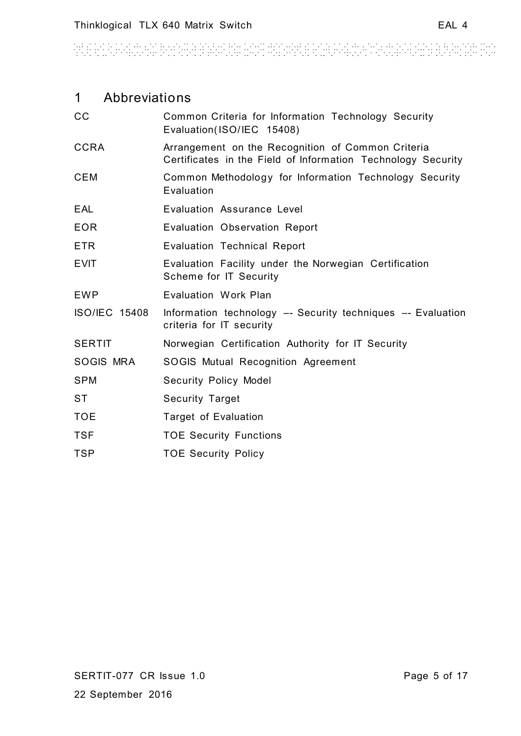# 1 Abbreviations

| cc                   | Common Criteria for Information Technology Security<br>Evaluation(ISO/IEC 15408)                                  |
|----------------------|-------------------------------------------------------------------------------------------------------------------|
| <b>CCRA</b>          | Arrangement on the Recognition of Common Criteria<br>Certificates in the Field of Information Technology Security |
| <b>CEM</b>           | Common Methodology for Information Technology Security<br>Evaluation                                              |
| <b>EAL</b>           | Evaluation Assurance Level                                                                                        |
| <b>EOR</b>           | Evaluation Observation Report                                                                                     |
| <b>ETR</b>           | <b>Evaluation Technical Report</b>                                                                                |
| <b>EVIT</b>          | Evaluation Facility under the Norwegian Certification<br>Scheme for IT Security                                   |
| <b>EWP</b>           | Evaluation Work Plan                                                                                              |
| <b>ISO/IEC 15408</b> | Information technology -- Security techniques -- Evaluation<br>criteria for IT security                           |
| <b>SERTIT</b>        | Norwegian Certification Authority for IT Security                                                                 |
| SOGIS MRA            | SOGIS Mutual Recognition Agreement                                                                                |
| <b>SPM</b>           | <b>Security Policy Model</b>                                                                                      |
| <b>ST</b>            | <b>Security Target</b>                                                                                            |
| <b>TOE</b>           | <b>Target of Evaluation</b>                                                                                       |
| <b>TSF</b>           | <b>TOE Security Functions</b>                                                                                     |
| <b>TSP</b>           | <b>TOE Security Policy</b>                                                                                        |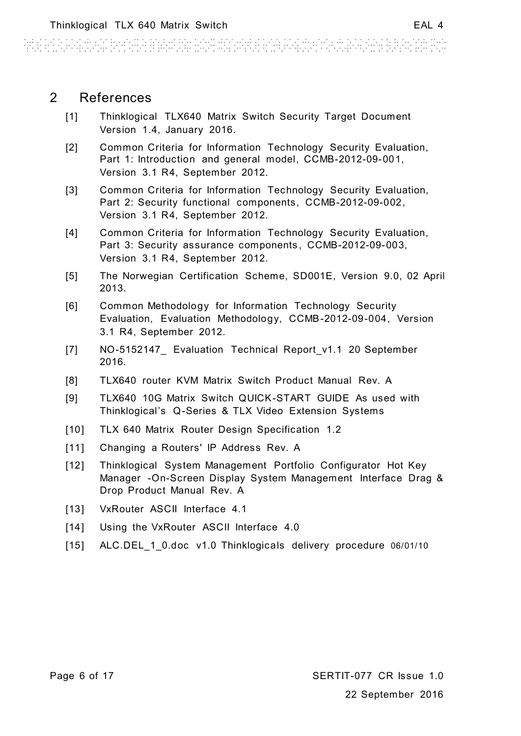# 2 References

- <span id="page-5-0"></span>[1] Thinklogical TLX640 Matrix Switch Security Target Document Version 1.4, January 2016.
- <span id="page-5-2"></span>[2] Common Criteria for Information Technology Security Evaluation, Part 1: Introduction and general model, CCMB-2012-09-001, Version 3.1 R4, September 2012.
- <span id="page-5-3"></span>[3] Common Criteria for Information Technology Security Evaluation, Part 2: Security functional components, CCMB-2012-09-002, Version 3.1 R4, September 2012.
- <span id="page-5-1"></span>[4] Common Criteria for Information Technology Security Evaluation, Part 3: Security assurance components, CCMB-2012-09-003, Version 3.1 R4, September 2012.
- <span id="page-5-4"></span>[5] The Norwegian Certification Scheme, SD001E, Version 9.0, 02 April 2013.
- <span id="page-5-5"></span>[6] Common Methodology for Information Technology Security Evaluation, Evaluation Methodology, CCMB-2012-09-004, Version 3.1 R4, September 2012.
- <span id="page-5-6"></span>[7] NO-5152147\_ Evaluation Technical Report v1.1 20 September 2016.
- [8] TLX640 router KVM Matrix Switch Product Manual Rev. A
- [9] TLX640 10G Matrix Switch QUICK-START GUIDE As used with Thinklogical's Q-Series & TLX Video Extension Systems
- [10] TLX 640 Matrix Router Design Specification 1.2
- [11] Changing a Routers' IP Address Rev. A
- [12] Thinklogical System Management Portfolio Configurator Hot Key Manager -On-Screen Display System Management Interface Drag & Drop Product Manual Rev. A
- [13] VxRouter ASCII Interface 4.1
- [14] Using the VxRouter ASCII Interface 4.0
- <span id="page-5-7"></span>[15] ALC.DEL\_1\_0.doc v1.0 Thinklogicals delivery procedure 06/01/10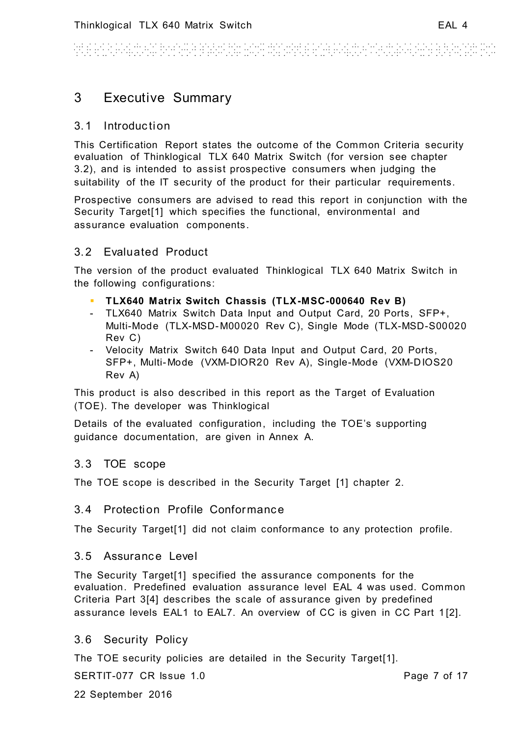WE REPORT FOR THE REPORT OF PROPERTY. i de la fermalia de la fermalia.<br>Estas el terminato de la fermalia de

# 3 Executive Summary

# 3.1 Introduction

This Certification Report states the outcome of the Common Criteria security evaluation of Thinklogical TLX 640 Matrix Switch (for version see chapter [3.2\)](#page-6-0), and is intended to assist prospective consumers when judging the suitability of the IT security of the product for their particular requirements.

Prospective consumers are advised to read this report in conjunction with the Security Target[\[1\]](#page-5-0) which specifies the functional, environmental and assurance evaluation components.

# <span id="page-6-0"></span>3.2 Evaluated Product

The version of the product evaluated Thinklogical TLX 640 Matrix Switch in the following configurations:

- **TLX640 Matrix Switch Chassis (TLX-MSC-000640 Rev B)**
- TLX640 Matrix Switch Data Input and Output Card, 20 Ports, SFP+, Multi-Mode (TLX-MSD-M00020 Rev C), Single Mode (TLX-MSD-S00020 Rev C)
- Velocity Matrix Switch 640 Data Input and Output Card, 20 Ports, SFP+, Multi-Mode (VXM-DIOR20 Rev A), Single-Mode (VXM-D IOS20 Rev A)

This product is also described in this report as the Target of Evaluation (TOE). The developer was Thinklogical

Details of the evaluated configuration, including the TOE's supporting guidance documentation, are given in Annex A.

# <span id="page-6-1"></span>3.3 TOE scope

The TOE scope is described in the Security Target [\[1\]](#page-5-0) chapter 2.

#### 3.4 Protection Profile Conformance

The Security Targe[t\[1\]](#page-5-0) did not claim conformance to any protection profile.

### 3.5 Assurance Level

The Security Targe[t\[1\]](#page-5-0) specified the assurance components for the evaluation. Predefined evaluation assurance level EAL 4 was used. Common Criteria Part [3\[4\]](#page-5-1) describes the scale of assurance given by predefined assurance levels EAL1 to EAL7. An overview of CC is given in CC Part 1 [\[2\].](#page-5-2)

# 3.6 Security Policy

The TOE security policies are detailed in the Security Target[\[1\].](#page-5-0)

SERTIT-077 CR Issue 1.0

Page 7 of 17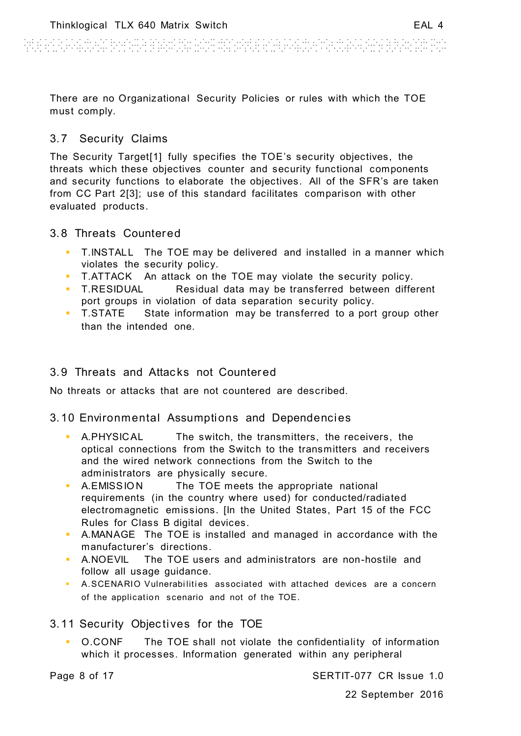ARE ESTATUTEN BESTER BANKAN HOR WANNER ESTERING FOR WANDER BURNING

There are no Organizational Security Policies or rules with which the TOE must comply.

# 3.7 Security Claims

The Security Targe[t\[1\]](#page-5-0) fully specifies the TOE's security objectives, the threats which these objectives counter and security functional components and security functions to elaborate the objectives. All of the SFR's are taken from CC Part [2\[3\];](#page-5-3) use of this standard facilitates comparison with other evaluated products.

# 3.8 Threats Countered

- T.INSTALL The TOE may be delivered and installed in a manner which violates the security policy.
- T.ATTACK An attack on the TOE may violate the security policy.
- T.RESIDUAL Residual data may be transferred between different port groups in violation of data separation security policy.
- T.STATE State information may be transferred to a port group other than the intended one.

# 3.9 Threats and Attacks not Countered

No threats or attacks that are not countered are described.

# 3.10 Environmental Assumptions and Dependencies

- A.PHYSIC AL The switch, the transmitters, the receivers, the optical connections from the Switch to the transmitters and receivers and the wired network connections from the Switch to the administrators are physically secure.
- A.EMISSION The TOE meets the appropriate national requirements (in the country where used) for conducted/radiated electromagnetic emissions. [In the United States, Part 15 of the FCC Rules for Class B digital devices.
- A.MANAGE The TOE is installed and managed in accordance with the manufacturer's directions.
- A.NOEVIL The TOE users and administrators are non-hostile and follow all usage guidance.
- A.SCENARIO Vulnerabilities associated with attached devices are a concern of the application scenario and not of the TOE.

# 3.11 Security Objectives for the TOE

 O.CONF The TOE shall not violate the confidentiality of information which it processes. Information generated within any peripheral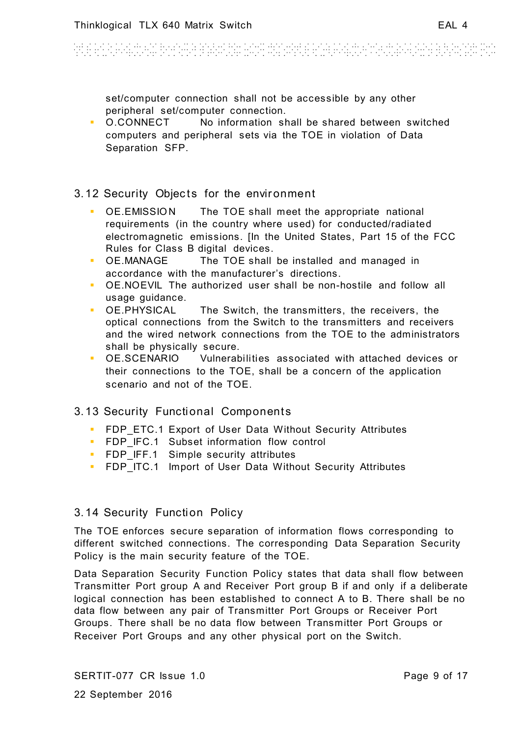an di bandar da bandar da bandar da bandar da bandar 

set/computer connection shall not be accessible by any other peripheral set/computer connection.

 O.CONNECT No information shall be shared between switched computers and peripheral sets via the TOE in violation of Data Separation SFP.

#### 3.12 Security Objects for the environment

- OE.EMISSION The TOE shall meet the appropriate national requirements (in the country where used) for conducted/radiated electromagnetic emissions. [In the United States, Part 15 of the FCC Rules for Class B digital devices.
- OE.MANAGE The TOE shall be installed and managed in accordance with the manufacturer's directions.
- OE.NOEVIL The authorized user shall be non-hostile and follow all usage guidance.
- OE.PHYSICAL The Switch, the transmitters, the receivers, the optical connections from the Switch to the transmitters and receivers and the wired network connections from the TOE to the administrators shall be physically secure.
- OE.SCENARIO Vulnerabilities associated with attached devices or their connections to the TOE, shall be a concern of the application scenario and not of the TOE.

# 3.13 Security Functional Components

- **FDP\_ETC.1 Export of User Data Without Security Attributes**
- **FDP\_IFC.1 Subset information flow control**
- **FDP\_IFF.1** Simple security attributes
- **FDP\_ITC.1 Import of User Data Without Security Attributes**

#### 3.14 Security Function Policy

The TOE enforces secure separation of information flows corresponding to different switched connections. The corresponding Data Separation Security Policy is the main security feature of the TOE.

Data Separation Security Function Policy states that data shall flow between Transmitter Port group A and Receiver Port group B if and only if a deliberate logical connection has been established to connect A to B. There shall be no data flow between any pair of Transmitter Port Groups or Receiver Port Groups. There shall be no data flow between Transmitter Port Groups or Receiver Port Groups and any other physical port on the Switch.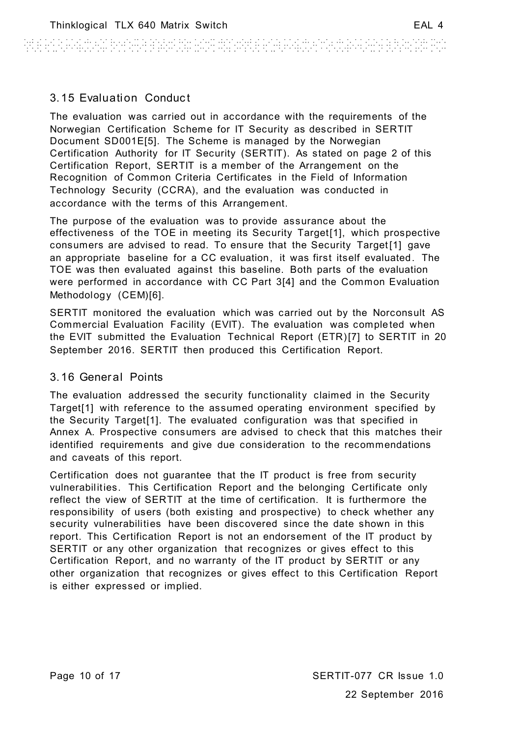# 3.15 Evaluation Conduct

The evaluation was carried out in accordance with the requirements of the Norwegian Certification Scheme for IT Security as described in SERTIT Document SD001[E\[5\].](#page-5-4) The Scheme is managed by the Norwegian Certification Authority for IT Security (SERTIT). As stated on page 2 of this Certification Report, SERTIT is a member of the Arrangement on the Recognition of Common Criteria Certificates in the Field of Information Technology Security (CCRA), and the evaluation was conducted in accordance with the terms of this Arrangement.

The purpose of the evaluation was to provide assurance about the effectiveness of the TOE in meeting its Security Targe[t\[1\],](#page-5-0) which prospective consumers are advised to read. To ensure that the Security Target [\[1\]](#page-5-0) gave an appropriate baseline for a CC evaluation, it was first itself evaluated. The TOE was then evaluated against this baseline. Both parts of the evaluation were performed in accordance with CC Part [3\[4\]](#page-5-1) and the Common Evaluation Methodology (CEM[\)\[6\].](#page-5-5)

SERTIT monitored the evaluation which was carried out by the Norconsult AS Commercial Evaluation Facility (EVIT). The evaluation was comple ted when the EVIT submitted the Evaluation Technical Report (ETR[\)\[7\]](#page-5-6) to SERTIT in 20 September 2016. SERTIT then produced this Certification Report.

# 3.16 General Points

The evaluation addressed the security functionality claimed in the Security Targe[t\[1\]](#page-5-0) with reference to the assumed operating environment specified by the Security Targe[t\[1\].](#page-5-0) The evaluated configuration was that specified in Annex A. Prospective consumers are advised to check that this matches their identified requirements and give due consideration to the recommendations and caveats of this report.

Certification does not guarantee that the IT product is free from security vulnerabilities. This Certification Report and the belonging Certificate only reflect the view of SERTIT at the time of certification. It is furthermore the responsibility of users (both existing and prospective) to check whether any security vulnerabilities have been discovered since the date shown in this report. This Certification Report is not an endorsement of the IT product by SERTIT or any other organization that recognizes or gives effect to this Certification Report, and no warranty of the IT product by SERTIT or any other organization that recognizes or gives effect to this Certification Report is either expressed or implied.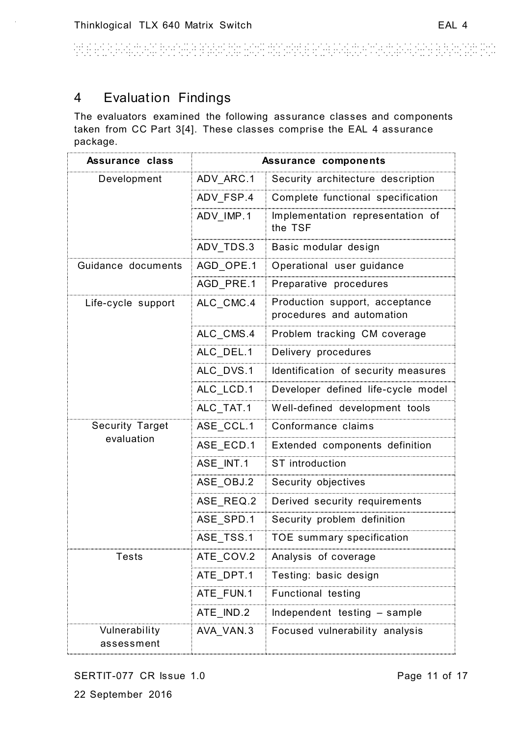AND PERSONAL PROPERTY PLAN AND PROPERTY PORTUGAL an an t-Alban a Bheann.<br>Tha ann an t-Alban an

# <span id="page-10-0"></span>4 Evaluation Findings

The evaluators examined the following assurance classes and components taken from CC Part [3\[4\].](#page-5-1) These classes comprise the EAL 4 assurance package.

| <b>Assurance class</b>      | Assurance components |                                                             |  |
|-----------------------------|----------------------|-------------------------------------------------------------|--|
| Development                 | ADV_ARC.1            | Security architecture description                           |  |
|                             | ADV_FSP.4            | Complete functional specification                           |  |
|                             | ADV IMP.1            | Implementation representation of<br>the TSF                 |  |
|                             | ADV_TDS.3            | Basic modular design                                        |  |
| Guidance documents          | AGD_OPE.1            | Operational user guidance                                   |  |
|                             | AGD_PRE.1            | Preparative procedures                                      |  |
| Life-cycle support          | ALC_CMC.4            | Production support, acceptance<br>procedures and automation |  |
|                             | ALC_CMS.4            | Problem tracking CM coverage                                |  |
|                             | ALC_DEL.1            | Delivery procedures                                         |  |
|                             | ALC_DVS.1            | Identification of security measures                         |  |
|                             | ALC LCD.1            | Developer defined life-cycle model                          |  |
|                             | ALC_TAT.1            | Well-defined development tools                              |  |
| <b>Security Target</b>      | ASE_CCL.1            | Conformance claims                                          |  |
| evaluation                  | ASE_ECD.1            | Extended components definition                              |  |
|                             | ASE INT.1            | <b>ST</b> introduction                                      |  |
|                             | ASE_OBJ.2            | Security objectives                                         |  |
|                             | ASE REQ.2            | Derived security requirements                               |  |
|                             | ASE_SPD.1            | Security problem definition                                 |  |
|                             | ASE_TSS.1            | TOE summary specification                                   |  |
| Tests                       | ATE_COV.2            | Analysis of coverage                                        |  |
|                             | ATE_DPT.1            | Testing: basic design                                       |  |
|                             | ATE_FUN.1            | <b>Functional testing</b>                                   |  |
|                             | ATE_IND.2            | Independent testing - sample                                |  |
| Vulnerability<br>assessment | AVA_VAN.3            | Focused vulnerability analysis                              |  |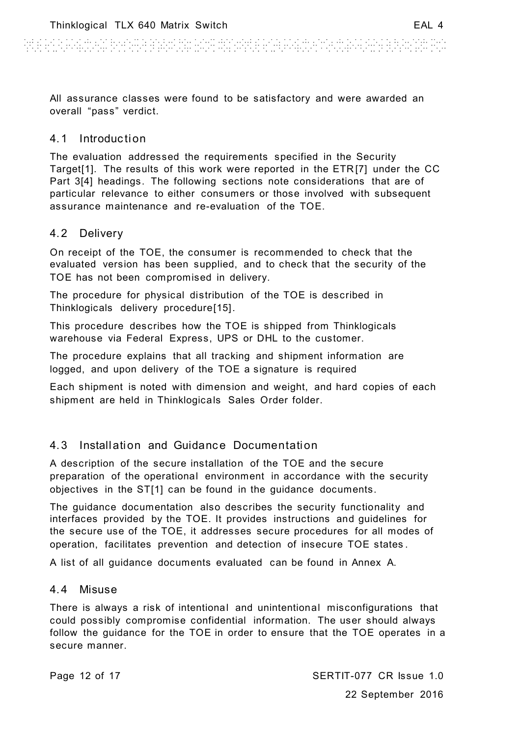And a closed the second and other departments and solution of a second and second

All assurance classes were found to be satisfactory and were awarded an overall "pass" verdict.

### 4.1 Introduction

The evaluation addressed the requirements specified in the Security Targe[t\[1\].](#page-5-0) The results of this work were reported in the ETR [\[7\]](#page-5-6) under the CC Part [3\[4\]](#page-5-1) headings. The following sections note considerations that are of particular relevance to either consumers or those involved with subsequent assurance maintenance and re-evaluation of the TOE.

### 4.2 Delivery

On receipt of the TOE, the consumer is recommended to check that the evaluated version has been supplied, and to check that the security of the TOE has not been compromised in delivery.

The procedure for physical distribution of the TOE is described in Thinklogicals delivery procedure[\[15\].](#page-5-7)

This procedure describes how the TOE is shipped from Thinklogicals warehouse via Federal Express, UPS or DHL to the customer.

The procedure explains that all tracking and shipment information are logged, and upon delivery of the TOE a signature is required

Each shipment is noted with dimension and weight, and hard copies of each shipment are held in Thinklogicals Sales Order folder.

# <span id="page-11-0"></span>4.3 Installation and Guidance Documentation

A description of the secure installation of the TOE and the secure preparation of the operational environment in accordance with the security objectives in the S[T\[1\]](#page-5-0) can be found in the guidance documents.

The guidance documentation also describes the security functionality and interfaces provided by the TOE. It provides instructions and guidelines for the secure use of the TOE, it addresses secure procedures for all modes of operation, facilitates prevention and detection of insecure TOE states .

A list of all guidance documents evaluated can be found in Annex A.

#### 4.4 Misuse

There is always a risk of intentional and unintentional misconfigurations that could possibly compromise confidential information. The user should always follow the guidance for the TOE in order to ensure that the TOE operates in a secure manner.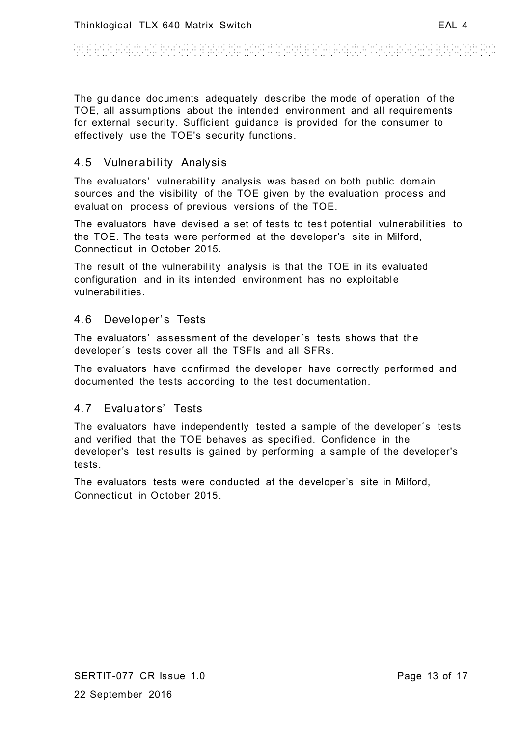And a constant where manufactured and a constant 

The guidance documents adequately describe the mode of operation of the TOE, all assumptions about the intended environment and all requirements for external security. Sufficient guidance is provided for the consumer to effectively use the TOE's security functions.

# 4.5 Vulnerability Analysis

The evaluators' vulnerability analysis was based on both public domain sources and the visibility of the TOE given by the evaluation process and evaluation process of previous versions of the TOE.

The evaluators have devised a set of tests to test potential vulnerabilities to the TOE. The tests were performed at the developer's site in Milford, Connecticut in October 2015.

The result of the vulnerability analysis is that the TOE in its evaluated configuration and in its intended environment has no exploitable vulnerabilities.

#### 4.6 Developer's Tests

The evaluators' assessment of the developer´s tests shows that the developer´s tests cover all the TSFIs and all SFRs.

The evaluators have confirmed the developer have correctly performed and documented the tests according to the test documentation.

## 4.7 Evaluators' Tests

The evaluators have independently tested a sample of the developer´s tests and verified that the TOE behaves as specified. Confidence in the developer's test results is gained by performing a sample of the developer's tests.

The evaluators tests were conducted at the developer's site in Milford, Connecticut in October 2015.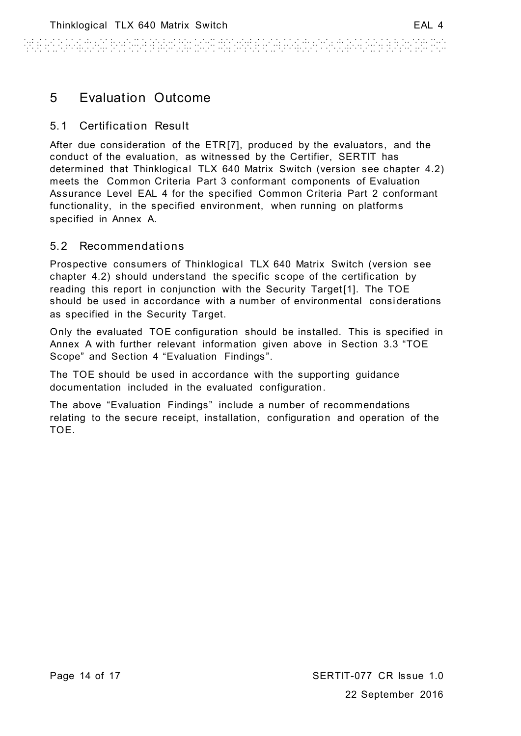ARE ESTATUTEN BERGHA BANGAN HON MANARE ESTATUT AUTORIAN ALTERNATIO

# 5 Evaluation Outcome

# 5.1 Certification Result

After due consideration of the ET[R\[7\],](#page-5-6) produced by the evaluators, and the conduct of the evaluation, as witnessed by the Certifier, SERTIT has determined that Thinklogical TLX 640 Matrix Switch (version see chapter 4.2) meets the Common Criteria Part 3 conformant components of Evaluation Assurance Level EAL 4 for the specified Common Criteria Part 2 conformant functionality, in the specified environment, when running on platforms specified in Annex A.

### 5.2 Recommendations

Prospective consumers of Thinklogical TLX 640 Matrix Switch (version see chapter 4.2) should understand the specific sc ope of the certification by reading this report in conjunction with the Security Target [\[1\].](#page-5-0) The TOE should be used in accordance with a number of environmental consi derations as specified in the Security Target.

Only the evaluated TOE configuration should be installed. This is specified in Annex A with further relevant information given above in Section [3.3](#page-6-1) "TOE Scope" and Section [4](#page-10-0) "Evaluation Findings ".

The TOE should be used in accordance with the supporting guidance documentation included in the evaluated configuration.

The above "Evaluation Findings" include a number of recommendations relating to the secure receipt, installation, configuration and operation of the TOE.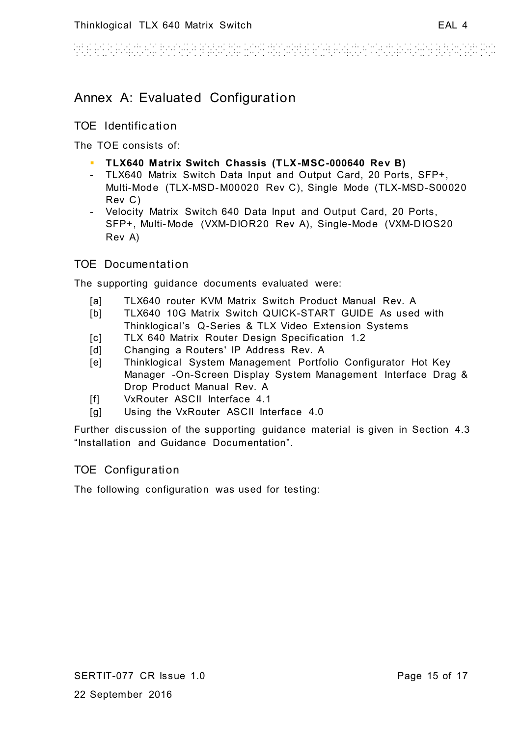an di bandar da bandar da bandar da bandar da bandar 

# Annex A: Evaluated Configuration

## TOE Identific ation

The TOE consists of:

- **TLX640 Matrix Switch Chassis (TLX-MSC-000640 Rev B)**
- TLX640 Matrix Switch Data Input and Output Card, 20 Ports, SFP+, Multi-Mode (TLX-MSD-M00020 Rev C), Single Mode (TLX-MSD-S00020 Rev C)
- Velocity Matrix Switch 640 Data Input and Output Card, 20 Ports, SFP+, Multi-Mode (VXM-DIOR20 Rev A), Single-Mode (VXM-D IOS20 Rev A)

# TOE Documentation

The supporting guidance documents evaluated were:

- [a] TLX640 router KVM Matrix Switch Product Manual Rev. A
- [b] TLX640 10G Matrix Switch QUICK-START GUIDE As used with Thinklogical's Q-Series & TLX Video Extension Systems
- [c] TLX 640 Matrix Router Design Specification 1.2
- [d] Changing a Routers' IP Address Rev. A
- [e] Thinklogical System Management Portfolio Configurator Hot Key Manager -On-Screen Display System Management Interface Drag & Drop Product Manual Rev. A
- [f] VxRouter ASCII Interface 4.1
- [g] Using the VxRouter ASCII Interface 4.0

Further discussion of the supporting guidance material is given in Section [4.3](#page-11-0) "Installation and Guidance Documentation".

# TOE Configuration

The following configuration was used for testing: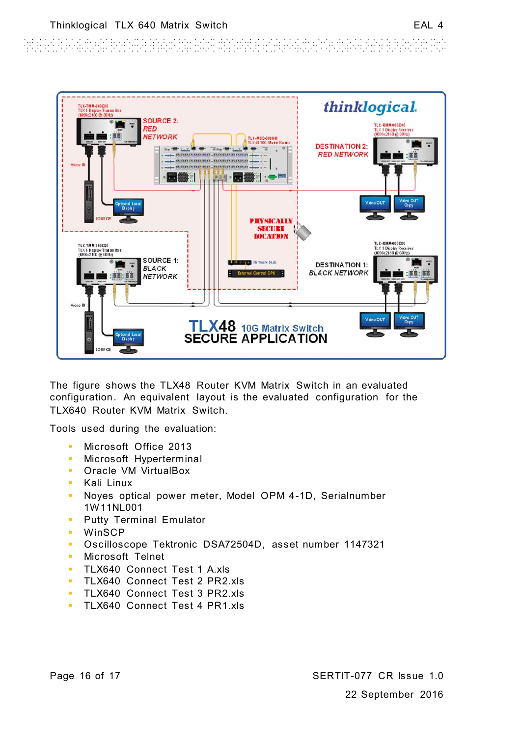And a constant will be come a calculate constant of a constant with the transfer a come a constant first



The figure shows the TLX48 Router KVM Matrix Switch in an evaluated configuration. An equivalent layout is the evaluated configuration for the TLX640 Router KVM Matrix Switch.

Tools used during the evaluation:

- Microsoft Office 2013
- **Microsoft Hyperterminal**
- **CORACLE VM VirtualBox**
- **Kali Linux**
- Noyes optical power meter, Model OPM 4-1D, Serialnumber 1W11NL001
- **Putty Terminal Emulator**
- **WinSCP**
- Oscilloscope Tektronic DSA72504D, asset number 1147321
- **Microsoft Telnet**
- **TLX640 Connect Test 1 A.xls**
- **TLX640 Connect Test 2 PR2.xls**
- **TLX640 Connect Test 3 PR2.xls**
- **TLX640 Connect Test 4 PR1.xls**